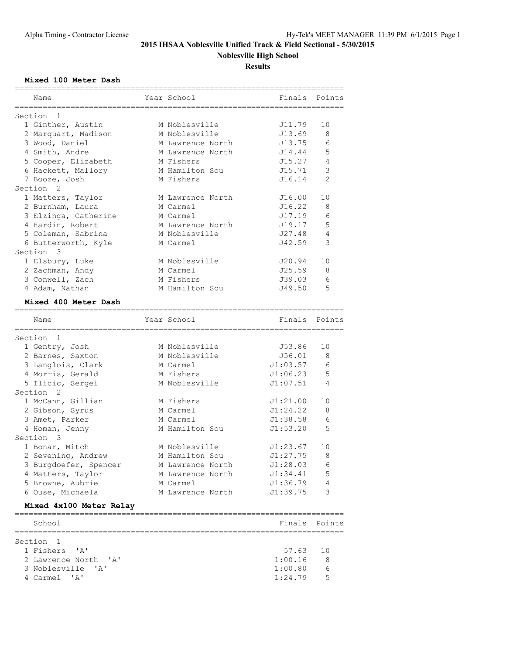## **2015 IHSAA Noblesville Unified Track & Field Sectional - 5/30/2015 Noblesville High School**

**Results**

#### **Mixed 100 Meter Dash**

|                                  | --------------------------------- |                            |                |
|----------------------------------|-----------------------------------|----------------------------|----------------|
| Name                             | Year School                       | Finals                     | Points         |
| Section 1                        |                                   | ========================== |                |
| 1 Ginther, Austin                | M Noblesville                     | J11.79                     | 10             |
| 2 Marquart, Madison              | M Noblesville                     | J13.69                     | 8              |
| 3 Wood, Daniel                   | M Lawrence North                  | J13.75                     | 6              |
| 4 Smith, Andre                   | M Lawrence North                  | J14.44                     | 5              |
| 5 Cooper, Elizabeth              | M Fishers                         | J15.27                     | 4              |
| 6 Hackett, Mallory               | M Hamilton Sou                    | J15.71                     | 3              |
| 7 Booze, Josh                    | M Fishers                         | J16.14                     | $\mathfrak{D}$ |
| Section <sub>2</sub>             |                                   |                            |                |
| 1 Matters, Taylor                | M Lawrence North                  | J16.00                     | 10             |
| 2 Burnham, Laura                 | M Carmel                          | J16.22                     | 8              |
| 3 Elzinga, Catherine             | M Carmel                          | J17.19                     | 6              |
|                                  |                                   |                            | 5              |
| 4 Hardin, Robert                 | M Lawrence North                  | J19.17                     | $\overline{4}$ |
| 5 Coleman, Sabrina               | M Noblesville                     | J27.48                     | 3              |
| 6 Butterworth, Kyle<br>Section 3 | M Carmel                          | J42.59                     |                |
| 1 Elsbury, Luke                  | M Noblesville                     | J20.94                     | 10             |
| 2 Zachman, Andy                  | M Carmel                          | J25.59                     | 8              |
| 3 Conwell, Zach                  | M Fishers                         | J39.03                     | 6              |
| 4 Adam, Nathan                   | M Hamilton Sou                    | J49.50                     | 5              |
|                                  |                                   |                            |                |
| Mixed 400 Meter Dash             |                                   |                            |                |
| Name                             | Year School                       | Finals                     | Points         |
|                                  |                                   |                            |                |
| Section 1                        |                                   |                            |                |
| 1 Gentry, Josh                   | M Noblesville                     | J53.86                     | 10             |
| 2 Barnes, Saxton                 | M Noblesville                     | J56.01                     | 8              |
| 3 Langlois, Clark                | M Carmel                          | J1:03.57                   | 6              |
| 4 Morris, Gerald                 | M Fishers                         | J1:06.23                   | 5              |
| 5 Ilicic, Sergei                 | M Noblesville                     | J1:07.51                   | $\overline{4}$ |
| Section <sub>2</sub>             |                                   |                            |                |
| 1 McCann, Gillian                | M Fishers                         | J1:21.00                   | 10             |
| 2 Gibson, Syrus                  | M Carmel                          | J1:24.22                   | 8              |
| 3 Amet, Parker                   | M Carmel                          | J1:38.58                   | 6              |
| 4 Homan, Jenny                   | M Hamilton Sou                    | J1:53.20                   | .5             |
| Section 3                        |                                   |                            |                |
| 1 Bonar, Mitch                   | M Noblesville                     | J1:23.67                   | 10             |
| 2 Sevening, Andrew               | M Hamilton Sou                    | J1:27.75                   | - 8            |
| 3 Burgdoefer, Spencer            | M Lawrence North                  | J1:28.03                   | 6              |
| 4 Matters, Taylor                | M Lawrence North                  | J1:34.41                   | 5              |
| 5 Browne, Aubrie                 | M Carmel                          | J1:36.79                   | 4              |
| 6 Ouse, Michaela                 | M Lawrence North                  | J1:39.75                   | 3              |
|                                  |                                   |                            |                |
| Mixed 4x100 Meter Relay          |                                   |                            |                |
| School                           |                                   | Finals                     | Points         |
|                                  |                                   |                            |                |
| Section 1                        |                                   |                            |                |
| 1 Fishers 'A'                    |                                   | 57.63                      | 10             |
| 2 Lawrence North 'A'             |                                   | 1:00.16                    | 8              |
| 3 Noblesville<br>$\mathsf{A}$    |                                   | 1:00.80                    | 6              |
| 4 Carmel 'A'                     |                                   | 1:24.79                    | 5              |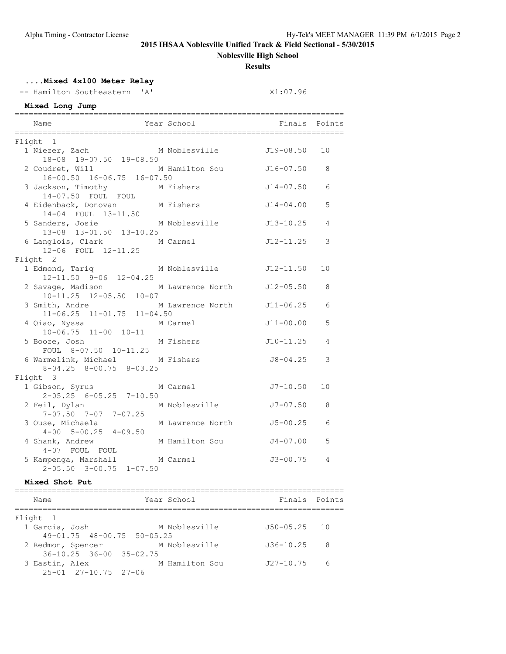## **2015 IHSAA Noblesville Unified Track & Field Sectional - 5/30/2015**

**Noblesville High School**

**Results**

## **....Mixed 4x100 Meter Relay**

-- Hamilton Southeastern 'A' X1:07.96

## **Mixed Long Jump**

| Name                                                                          | Year School <a> Finals Points</a> |               |                |
|-------------------------------------------------------------------------------|-----------------------------------|---------------|----------------|
| Flight 1                                                                      |                                   |               |                |
| 1 Niezer, Zach M<br>18-08 19-07.50 19-08.50                                   | M Noblesville J19-08.50           |               | 10             |
| 2 Coudret, Will<br>$16-00.50$ $16-06.75$ $16-07.50$                           | M Hamilton Sou                    | J16-07.50     | 8              |
| 3 Jackson, Timothy M Fishers<br>14-07.50 FOUL FOUL                            |                                   | $J14 - 07.50$ | 6              |
| 4 Eidenback, Donovan M Fishers<br>14-04 FOUL 13-11.50                         |                                   | J14-04.00     | 5              |
| 5 Sanders, Josie<br>13-08 13-01.50 13-10.25                                   | M Noblesville 513-10.25           |               | $\overline{4}$ |
| 6 Langlois, Clark M Carmel<br>12-06 FOUL 12-11.25                             |                                   | $J12 - 11.25$ | 3              |
| Flight 2                                                                      |                                   |               |                |
| 1 Edmond, Tariq M Noblesville 512-11.50<br>$12 - 11.50$ $9 - 06$ $12 - 04.25$ |                                   |               | 10             |
| 2 Savage, Madison M Lawrence North J12-05.50<br>10-11.25 12-05.50 10-07       |                                   |               | 8              |
| 3 Smith, Andre M Lawrence North J11-06.25<br>$11-06.25$ $11-01.75$ $11-04.50$ |                                   |               | 6              |
| 4 Qiao, Nyssa M Carmel<br>10-06.75 11-00 10-11                                |                                   | $J11 - 00.00$ | 5              |
| 5 Booze, Josh M Fishers<br>FOUL 8-07.50 10-11.25                              |                                   | $J10-11.25$   | 4              |
| 6 Warmelink, Michael M Fishers<br>$8-04.25$ $8-00.75$ $8-03.25$               |                                   | J8-04.25      | 3              |
| Flight 3                                                                      |                                   |               |                |
| $2-05.25$ 6-05.25 7-10.50                                                     |                                   | $J7 - 10.50$  | 10             |
| 2 Feil, Dylan<br>$7-07.50$ $7-07$ $7-07.25$                                   | M Noblesville                     | J7-07.50      | 8              |
| 3 Ouse, Michaela<br>$4-00$ $5-00.25$ $4-09.50$                                | M Lawrence North                  | $J5 - 00.25$  | 6              |
| 4 Shank, Andrew<br>4-07 FOUL FOUL                                             | M Hamilton Sou                    | $J4 - 07.00$  | 5              |
| 5 Kampenga, Marshall M Carmel<br>$2-05.50$ $3-00.75$ $1-07.50$                |                                   | J3-00.75      | 4              |

#### **Mixed Shot Put**

| Name                                | Year School    | Finals Points  |     |
|-------------------------------------|----------------|----------------|-----|
| Flight 1                            |                |                |     |
| 1 Garcia, Josh                      | M Noblesville  | $J50-05.25$ 10 |     |
| $49-01.75$ $48-00.75$ $50-05.25$    |                |                |     |
| 2 Redmon, Spencer                   | M Noblesville  | $J36 - 10.25$  | - 8 |
| $36 - 10.25$ $36 - 00$ $35 - 02.75$ |                |                |     |
| 3 Eastin, Alex                      | M Hamilton Sou | $J27 - 10.75$  | 6   |
| $25 - 01$ $27 - 10.75$ $27 - 06$    |                |                |     |